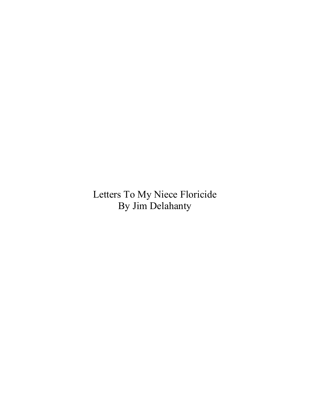Letters To My Niece Floricide By Jim Delahanty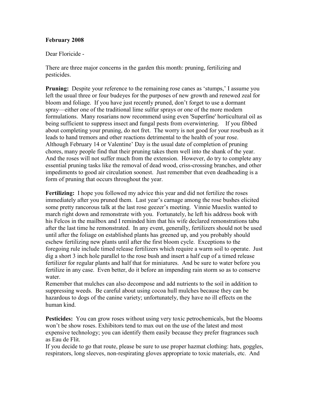# February 2008

Dear Floricide -

There are three major concerns in the garden this month: pruning, fertilizing and pesticides.

**Pruning:** Despite your reference to the remaining rose canes as 'stumps,' I assume you left the usual three or four budeyes for the purposes of new growth and renewed zeal for bloom and foliage. If you have just recently pruned, don't forget to use a dormant spray—either one of the traditional lime sulfur sprays or one of the more modern formulations. Many rosarians now recommend using even 'Superfine' horticultural oil as being sufficient to suppress insect and fungal pests from overwintering. If you fibbed about completing your pruning, do not fret. The worry is not good for your rosebush as it leads to hand tremors and other reactions detrimental to the health of your rose. Although February 14 or Valentine' Day is the usual date of completion of pruning chores, many people find that their pruning takes them well into the shank of the year. And the roses will not suffer much from the extension. However, do try to complete any essential pruning tasks like the removal of dead wood, criss-crossing branches, and other impediments to good air circulation soonest. Just remember that even deadheading is a form of pruning that occurs throughout the year.

Fertilizing: I hope you followed my advice this year and did not fertilize the roses immediately after you pruned them. Last year's carnage among the rose bushes elicited some pretty rancorous talk at the last rose geezer's meeting. Vinnie Mueslix wanted to march right down and remonstrate with you. Fortunately, he left his address book with his Felcos in the mailbox and I reminded him that his wife declared remonstrations tabu after the last time he remonstrated. In any event, generally, fertilizers should not be used until after the foliage on established plants has greened up, and you probably should eschew fertilizing new plants until after the first bloom cycle. Exceptions to the foregoing rule include timed release fertilizers which require a warm soil to operate. Just dig a short 3 inch hole parallel to the rose bush and insert a half cup of a timed release fertilizer for regular plants and half that for miniatures. And be sure to water before you fertilize in any case. Even better, do it before an impending rain storm so as to conserve water.

Remember that mulches can also decompose and add nutrients to the soil in addition to suppressing weeds. Be careful about using cocoa hull mulches because they can be hazardous to dogs of the canine variety; unfortunately, they have no ill effects on the human kind.

Pesticides: You can grow roses without using very toxic petrochemicals, but the blooms won't be show roses. Exhibitors tend to max out on the use of the latest and most expensive technology; you can identify them easily because they prefer fragrances such as Eau de Flit.

If you decide to go that route, please be sure to use proper hazmat clothing: hats, goggles, respirators, long sleeves, non-respirating gloves appropriate to toxic materials, etc. And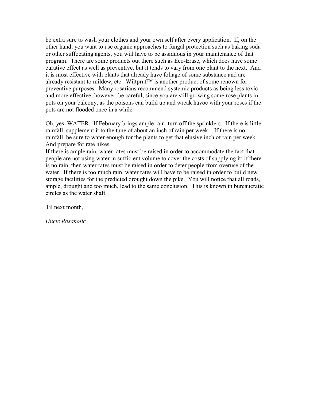be extra sure to wash your clothes and your own self after every application. If, on the other hand, you want to use organic approaches to fungal protection such as baking soda or other suffocating agents, you will have to be assiduous in your maintenance of that program. There are some products out there such as Eco-Erase, which does have some curative effect as well as preventive, but it tends to vary from one plant to the next. And it is most effective with plants that already have foliage of some substance and are already resistant to mildew, etc. Wiltpruf™ is another product of some renown for preventive purposes. Many rosarians recommend systemic products as being less toxic and more effective; however, be careful, since you are still growing some rose plants in pots on your balcony, as the poisons can build up and wreak havoc with your roses if the pots are not flooded once in a while.

Oh, yes. WATER. If February brings ample rain, turn off the sprinklers. If there is little rainfall, supplement it to the tune of about an inch of rain per week. If there is no rainfall, be sure to water enough for the plants to get that elusive inch of rain per week. And prepare for rate hikes.

If there is ample rain, water rates must be raised in order to accommodate the fact that people are not using water in sufficient volume to cover the costs of supplying it; if there is no rain, then water rates must be raised in order to deter people from overuse of the water. If there is too much rain, water rates will have to be raised in order to build new storage facilities for the predicted drought down the pike. You will notice that all roads, ample, drought and too much, lead to the same conclusion. This is known in bureaucratic circles as the water shaft.

Til next month,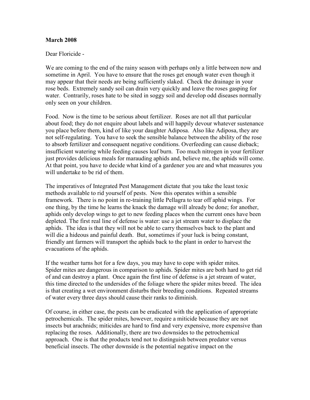## March 2008

Dear Floricide -

We are coming to the end of the rainy season with perhaps only a little between now and sometime in April. You have to ensure that the roses get enough water even though it may appear that their needs are being sufficiently slaked. Check the drainage in your rose beds. Extremely sandy soil can drain very quickly and leave the roses gasping for water. Contrarily, roses hate to be sited in soggy soil and develop odd diseases normally only seen on your children.

Food. Now is the time to be serious about fertilizer. Roses are not all that particular about food; they do not enquire about labels and will happily devour whatever sustenance you place before them, kind of like your daughter Adiposa. Also like Adiposa, they are not self-regulating. You have to seek the sensible balance between the ability of the rose to absorb fertilizer and consequent negative conditions. Overfeeding can cause dieback; insufficient watering while feeding causes leaf burn. Too much nitrogen in your fertilizer just provides delicious meals for marauding aphids and, believe me, the aphids will come. At that point, you have to decide what kind of a gardener you are and what measures you will undertake to be rid of them.

The imperatives of Integrated Pest Management dictate that you take the least toxic methods available to rid yourself of pests. Now this operates within a sensible framework. There is no point in re-training little Pellagra to tear off aphid wings. For one thing, by the time he learns the knack the damage will already be done; for another, aphids only develop wings to get to new feeding places when the current ones have been depleted. The first real line of defense is water: use a jet stream water to displace the aphids. The idea is that they will not be able to carry themselves back to the plant and will die a hideous and painful death. But, sometimes if your luck is being constant, friendly ant farmers will transport the aphids back to the plant in order to harvest the evacuations of the aphids.

If the weather turns hot for a few days, you may have to cope with spider mites. Spider mites are dangerous in comparison to aphids. Spider mites are both hard to get rid of and can destroy a plant. Once again the first line of defense is a jet stream of water, this time directed to the undersides of the foliage where the spider mites breed. The idea is that creating a wet environment disturbs their breeding conditions. Repeated streams of water every three days should cause their ranks to diminish.

Of course, in either case, the pests can be eradicated with the application of appropriate petrochemicals. The spider mites, however, require a miticide because they are not insects but arachnids; miticides are hard to find and very expensive, more expensive than replacing the roses. Additionally, there are two downsides to the petrochemical approach. One is that the products tend not to distinguish between predator versus beneficial insects. The other downside is the potential negative impact on the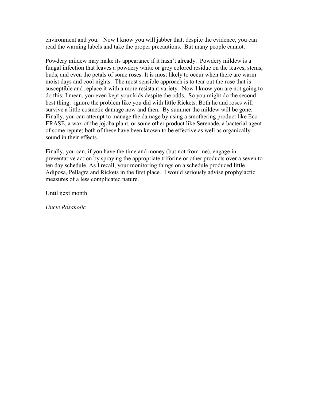environment and you. Now I know you will jabber that, despite the evidence, you can read the warning labels and take the proper precautions. But many people cannot.

Powdery mildew may make its appearance if it hasn't already. Powdery mildew is a fungal infection that leaves a powdery white or grey colored residue on the leaves, stems, buds, and even the petals of some roses. It is most likely to occur when there are warm moist days and cool nights. The most sensible approach is to tear out the rose that is susceptible and replace it with a more resistant variety. Now I know you are not going to do this; I mean, you even kept your kids despite the odds. So you might do the second best thing: ignore the problem like you did with little Rickets. Both he and roses will survive a little cosmetic damage now and then. By summer the mildew will be gone. Finally, you can attempt to manage the damage by using a smothering product like Eco-ERASE, a wax of the jojoba plant, or some other product like Serenade, a bacterial agent of some repute; both of these have been known to be effective as well as organically sound in their effects.

Finally, you can, if you have the time and money (but not from me), engage in preventative action by spraying the appropriate triforine or other products over a seven to ten day schedule. As I recall, your monitoring things on a schedule produced little Adiposa, Pellagra and Rickets in the first place. I would seriously advise prophylactic measures of a less complicated nature.

Until next month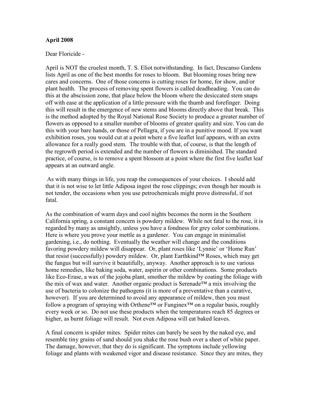## April 2008

#### Dear Floricide -

April is NOT the cruelest month, T. S. Eliot notwithstanding. In fact, Descanso Gardens lists April as one of the best months for roses to bloom. But blooming roses bring new cares and concerns. One of those concerns is cutting roses for home, for show, and/or plant health. The process of removing spent flowers is called deadheading. You can do this at the abscission zone, that place below the bloom where the desiccated stem snaps off with ease at the application of a little pressure with the thumb and forefinger. Doing this will result in the emergence of new stems and blooms directly above that break. This is the method adopted by the Royal National Rose Society to produce a greater number of flowers as opposed to a smaller number of blooms of greater quality and size. You can do this with your bare hands, or those of Pellagra, if you are in a punitive mood. If you want exhibition roses, you would cut at a point where a five leaflet leaf appears, with an extra allowance for a really good stem. The trouble with that, of course, is that the length of the regrowth period is extended and the number of flowers is diminished. The standard practice, of course, is to remove a spent blossom at a point where the first five leaflet leaf appears at an outward angle.

 As with many things in life, you reap the consequences of your choices. I should add that it is not wise to let little Adiposa ingest the rose clippings; even though her mouth is not tender, the occasions when you use petrochemicals might prove distressful, if not fatal.

As the combination of warm days and cool nights becomes the norm in the Southern California spring, a constant concern is powdery mildew. While not fatal to the rose, it is regarded by many as unsightly, unless you have a fondness for grey color combinations. Here is where you prove your mettle as a gardener. You can engage in minimalist gardening, i.e., do nothing. Eventually the weather will change and the conditions favoring powdery mildew will disappear. Or, plant roses like 'Lynnie' or 'Home Run' that resist (successfully) powdery mildew. Or, plant Earthkind™ Roses, which may get the fungus but will survive it beautifully, anyway. Another approach is to use various home remedies, like baking soda, water, aspirin or other combinations. Some products like Eco-Erase, a wax of the jojoba plant, smother the mildew by coating the foliage with the mix of wax and water. Another organic product is Serenade™ a mix involving the use of bacteria to colonize the pathogens (it is more of a preventative than a curative, however). If you are determined to avoid any appearance of mildew, then you must follow a program of spraying with Orthene<sup>TM</sup> or Funginex<sup>TM</sup> on a regular basis, roughly every week or so. Do not use these products when the temperatures reach 85 degrees or higher, as burnt foliage will result. Not even Adiposa will eat baked leaves.

A final concern is spider mites. Spider mites can barely be seen by the naked eye, and resemble tiny grains of sand should you shake the rose bush over a sheet of white paper. The damage, however, that they do is significant. The symptons include yellowing foliage and plants with weakened vigor and disease resistance. Since they are mites, they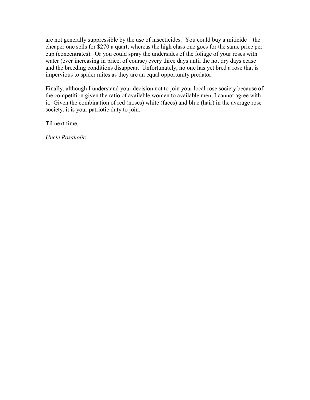are not generally suppressible by the use of insecticides. You could buy a miticide—the cheaper one sells for \$270 a quart, whereas the high class one goes for the same price per cup (concentrates). Or you could spray the undersides of the foliage of your roses with water (ever increasing in price, of course) every three days until the hot dry days cease and the breeding conditions disappear. Unfortunately, no one has yet bred a rose that is impervious to spider mites as they are an equal opportunity predator.

Finally, although I understand your decision not to join your local rose society because of the competition given the ratio of available women to available men, I cannot agree with it. Given the combination of red (noses) white (faces) and blue (hair) in the average rose society, it is your patriotic duty to join.

Til next time,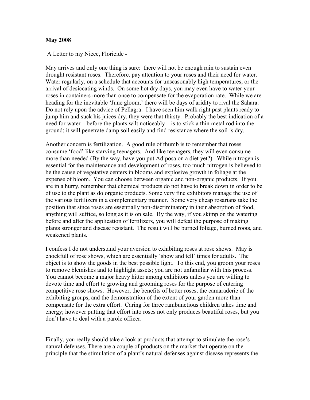#### May 2008

A Letter to my Niece, Floricide -

May arrives and only one thing is sure: there will not be enough rain to sustain even drought resistant roses. Therefore, pay attention to your roses and their need for water. Water regularly, on a schedule that accounts for unseasonably high temperatures, or the arrival of desiccating winds. On some hot dry days, you may even have to water your roses in containers more than once to compensate for the evaporation rate. While we are heading for the inevitable 'June gloom,' there will be days of aridity to rival the Sahara. Do not rely upon the advice of Pellagra: I have seen him walk right past plants ready to jump him and suck his juices dry, they were that thirsty. Probably the best indication of a need for water—before the plants wilt noticeably—is to stick a thin metal rod into the ground; it will penetrate damp soil easily and find resistance where the soil is dry.

Another concern is fertilization. A good rule of thumb is to remember that roses consume 'food' like starving teenagers. And like teenagers, they will even consume more than needed (By the way, have you put Adiposa on a diet yet?). While nitrogen is essential for the maintenance and development of roses, too much nitrogen is believed to be the cause of vegetative centers in blooms and explosive growth in foliage at the expense of bloom. You can choose between organic and non-organic products. If you are in a hurry, remember that chemical products do not have to break down in order to be of use to the plant as do organic products. Some very fine exhibitors manage the use of the various fertilizers in a complementary manner. Some very cheap rosarians take the position that since roses are essentially non-discriminatory in their absorption of food, anything will suffice, so long as it is on sale. By the way, if you skimp on the watering before and after the application of fertilizers, you will defeat the purpose of making plants stronger and disease resistant. The result will be burned foliage, burned roots, and weakened plants.

I confess I do not understand your aversion to exhibiting roses at rose shows. May is chockfull of rose shows, which are essentially 'show and tell' times for adults. The object is to show the goods in the best possible light. To this end, you groom your roses to remove blemishes and to highlight assets; you are not unfamiliar with this process. You cannot become a major heavy hitter among exhibitors unless you are willing to devote time and effort to growing and grooming roses for the purpose of entering competitive rose shows. However, the benefits of better roses, the camaraderie of the exhibiting groups, and the demonstration of the extent of your garden more than compensate for the extra effort. Caring for three rambunctious children takes time and energy; however putting that effort into roses not only produces beautiful roses, but you don't have to deal with a parole officer.

Finally, you really should take a look at products that attempt to stimulate the rose's natural defenses. There are a couple of products on the market that operate on the principle that the stimulation of a plant's natural defenses against disease represents the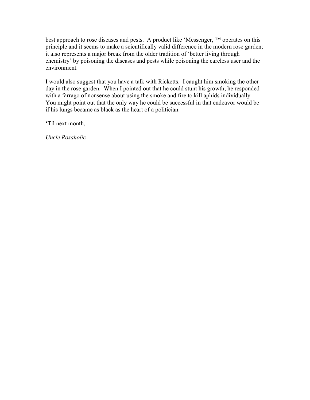best approach to rose diseases and pests. A product like 'Messenger, ™ operates on this principle and it seems to make a scientifically valid difference in the modern rose garden; it also represents a major break from the older tradition of 'better living through chemistry' by poisoning the diseases and pests while poisoning the careless user and the environment.

I would also suggest that you have a talk with Ricketts. I caught him smoking the other day in the rose garden. When I pointed out that he could stunt his growth, he responded with a farrago of nonsense about using the smoke and fire to kill aphids individually. You might point out that the only way he could be successful in that endeavor would be if his lungs became as black as the heart of a politician.

'Til next month,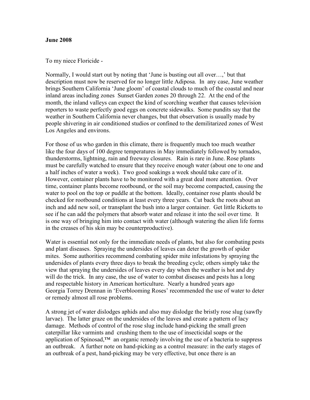#### June 2008

To my niece Floricide -

Normally, I would start out by noting that 'June is busting out all over…,' but that description must now be reserved for no longer little Adiposa. In any case, June weather brings Southern California 'June gloom' of coastal clouds to much of the coastal and near inland areas including zones Sunset Garden zones 20 through 22. At the end of the month, the inland valleys can expect the kind of scorching weather that causes television reporters to waste perfectly good eggs on concrete sidewalks. Some pundits say that the weather in Southern California never changes, but that observation is usually made by people shivering in air conditioned studios or confined to the demilitarized zones of West Los Angeles and environs.

For those of us who garden in this climate, there is frequently much too much weather like the four days of 100 degree temperatures in May immediately followed by tornados, thunderstorms, lightning, rain and freeway closures. Rain is rare in June. Rose plants must be carefully watched to ensure that they receive enough water (about one to one and a half inches of water a week). Two good soakings a week should take care of it. However, container plants have to be monitored with a great deal more attention. Over time, container plants become rootbound, or the soil may become compacted, causing the water to pool on the top or puddle at the bottom. Ideally, container rose plants should be checked for rootbound conditions at least every three years. Cut back the roots about an inch and add new soil, or transplant the bush into a larger container. Get little Ricketts to see if he can add the polymers that absorb water and release it into the soil over time. It is one way of bringing him into contact with water (although watering the alien life forms in the creases of his skin may be counterproductive).

Water is essential not only for the immediate needs of plants, but also for combating pests and plant diseases. Spraying the undersides of leaves can deter the growth of spider mites. Some authorities recommend combating spider mite infestations by spraying the undersides of plants every three days to break the breeding cycle; others simply take the view that spraying the undersides of leaves every day when the weather is hot and dry will do the trick. In any case, the use of water to combat diseases and pests has a long and respectable history in American horticulture. Nearly a hundred years ago Georgia Torrey Drennan in 'Everblooming Roses' recommended the use of water to deter or remedy almost all rose problems.

A strong jet of water dislodges aphids and also may dislodge the bristly rose slug (sawfly larvae). The latter graze on the undersides of the leaves and create a pattern of lacy damage. Methods of control of the rose slug include hand-picking the small green caterpillar like varmints and crushing them to the use of insecticidal soaps or the application of Spinosad,™ an organic remedy involving the use of a bacteria to suppress an outbreak. A further note on hand-picking as a control measure: in the early stages of an outbreak of a pest, hand-picking may be very effective, but once there is an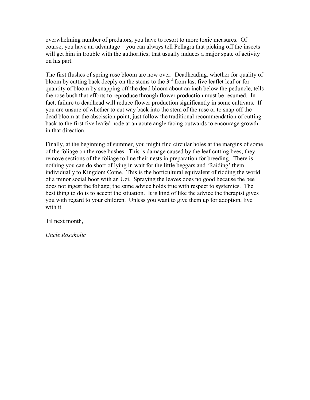overwhelming number of predators, you have to resort to more toxic measures. Of course, you have an advantage—you can always tell Pellagra that picking off the insects will get him in trouble with the authorities; that usually induces a major spate of activity on his part.

The first flushes of spring rose bloom are now over. Deadheading, whether for quality of bloom by cutting back deeply on the stems to the  $3<sup>rd</sup>$  from last five leaflet leaf or for quantity of bloom by snapping off the dead bloom about an inch below the peduncle, tells the rose bush that efforts to reproduce through flower production must be resumed. In fact, failure to deadhead will reduce flower production significantly in some cultivars. If you are unsure of whether to cut way back into the stem of the rose or to snap off the dead bloom at the abscission point, just follow the traditional recommendation of cutting back to the first five leafed node at an acute angle facing outwards to encourage growth in that direction.

Finally, at the beginning of summer, you might find circular holes at the margins of some of the foliage on the rose bushes. This is damage caused by the leaf cutting bees; they remove sections of the foliage to line their nests in preparation for breeding. There is nothing you can do short of lying in wait for the little beggars and 'Raiding' them individually to Kingdom Come. This is the horticultural equivalent of ridding the world of a minor social boor with an Uzi. Spraying the leaves does no good because the bee does not ingest the foliage; the same advice holds true with respect to systemics. The best thing to do is to accept the situation. It is kind of like the advice the therapist gives you with regard to your children. Unless you want to give them up for adoption, live with it.

Til next month,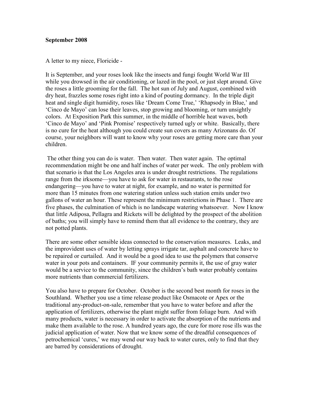#### September 2008

A letter to my niece, Floricide -

It is September, and your roses look like the insects and fungi fought World War III while you drowsed in the air conditioning, or lazed in the pool, or just slept around. Give the roses a little grooming for the fall. The hot sun of July and August, combined with dry heat, frazzles some roses right into a kind of pouting dormancy. In the triple digit heat and single digit humidity, roses like 'Dream Come True,' 'Rhapsody in Blue,' and 'Cinco de Mayo' can lose their leaves, stop growing and blooming, or turn unsightly colors. At Exposition Park this summer, in the middle of horrible heat waves, both 'Cinco de Mayo' and 'Pink Promise' respectively turned ugly or white. Basically, there is no cure for the heat although you could create sun covers as many Arizonans do. Of course, your neighbors will want to know why your roses are getting more care than your children.

 The other thing you can do is water. Then water. Then water again. The optimal recommendation might be one and half inches of water per week. The only problem with that scenario is that the Los Angeles area is under drought restrictions. The regulations range from the irksome—you have to ask for water in restaurants, to the rose endangering—you have to water at night, for example, and no water is permitted for more than 15 minutes from one watering station unless such station emits under two gallons of water an hour. These represent the minimum restrictions in Phase 1. There are five phases, the culmination of which is no landscape watering whatsoever. Now I know that little Adiposa, Pellagra and Rickets will be delighted by the prospect of the abolition of baths; you will simply have to remind them that all evidence to the contrary, they are not potted plants.

There are some other sensible ideas connected to the conservation measures. Leaks, and the improvident uses of water by letting sprays irrigate tar, asphalt and concrete have to be repaired or curtailed. And it would be a good idea to use the polymers that conserve water in your pots and containers. IF your community permits it, the use of gray water would be a service to the community, since the children's bath water probably contains more nutrients than commercial fertilizers.

You also have to prepare for October. October is the second best month for roses in the Southland. Whether you use a time release product like Osmacote or Apex or the traditional any-product-on-sale, remember that you have to water before and after the application of fertilizers, otherwise the plant might suffer from foliage burn. And with many products, water is necessary in order to activate the absorption of the nutrients and make them available to the rose. A hundred years ago, the cure for more rose ills was the judicial application of water. Now that we know some of the dreadful consequences of petrochemical 'cures,' we may wend our way back to water cures, only to find that they are barred by considerations of drought.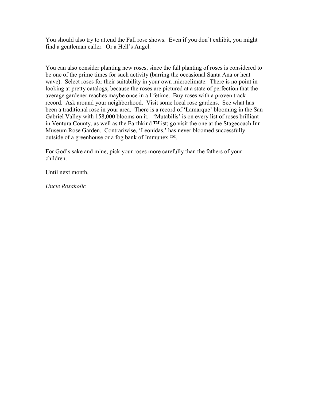You should also try to attend the Fall rose shows. Even if you don't exhibit, you might find a gentleman caller. Or a Hell's Angel.

You can also consider planting new roses, since the fall planting of roses is considered to be one of the prime times for such activity (barring the occasional Santa Ana or heat wave). Select roses for their suitability in your own microclimate. There is no point in looking at pretty catalogs, because the roses are pictured at a state of perfection that the average gardener reaches maybe once in a lifetime. Buy roses with a proven track record. Ask around your neighborhood. Visit some local rose gardens. See what has been a traditional rose in your area. There is a record of 'Lamarque' blooming in the San Gabriel Valley with 158,000 blooms on it. 'Mutabilis' is on every list of roses brilliant in Ventura County, as well as the Earthkind ™list; go visit the one at the Stagecoach Inn Museum Rose Garden. Contrariwise, 'Leonidas,' has never bloomed successfully outside of a greenhouse or a fog bank of Immunex ™.

For God's sake and mine, pick your roses more carefully than the fathers of your children.

Until next month,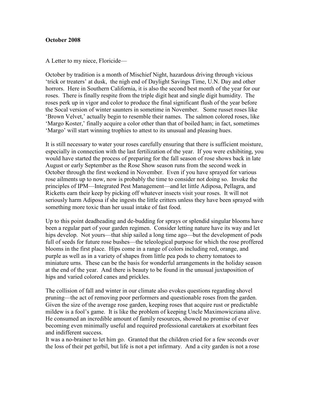### October 2008

A Letter to my niece, Floricide—

October by tradition is a month of Mischief Night, hazardous driving through vicious 'trick or treaters' at dusk, the nigh end of Daylight Savings Time, U.N. Day and other horrors. Here in Southern California, it is also the second best month of the year for our roses. There is finally respite from the triple digit heat and single digit humidity. The roses perk up in vigor and color to produce the final significant flush of the year before the Socal version of winter saunters in sometime in November. Some russet roses like 'Brown Velvet,' actually begin to resemble their names. The salmon colored roses, like 'Margo Koster,' finally acquire a color other than that of boiled ham; in fact, sometimes 'Margo' will start winning trophies to attest to its unusual and pleasing hues.

It is still necessary to water your roses carefully ensuring that there is sufficient moisture, especially in connection with the last fertilization of the year. If you were exhibiting, you would have started the process of preparing for the fall season of rose shows back in late August or early September as the Rose Show season runs from the second week in October through the first weekend in November. Even if you have sprayed for various rose ailments up to now, now is probably the time to consider not doing so. Invoke the principles of IPM—Integrated Pest Management—and let little Adiposa, Pellagra, and Ricketts earn their keep by picking off whatever insects visit your roses. It will not seriously harm Adiposa if she ingests the little critters unless they have been sprayed with something more toxic than her usual intake of fast food.

Up to this point deadheading and de-budding for sprays or splendid singular blooms have been a regular part of your garden regimen. Consider letting nature have its way and let hips develop. Not yours—that ship sailed a long time ago—but the development of pods full of seeds for future rose bushes—the teleological purpose for which the rose proffered blooms in the first place. Hips come in a range of colors including red, orange, and purple as well as in a variety of shapes from little pea pods to cherry tomatoes to miniature urns. These can be the basis for wonderful arrangements in the holiday season at the end of the year. And there is beauty to be found in the unusual juxtaposition of hips and varied colored canes and prickles.

The collision of fall and winter in our climate also evokes questions regarding shovel pruning—the act of removing poor performers and questionable roses from the garden. Given the size of the average rose garden, keeping roses that acquire rust or predictable mildew is a fool's game. It is like the problem of keeping Uncle Maximowicziana alive. He consumed an incredible amount of family resources, showed no promise of ever becoming even minimally useful and required professional caretakers at exorbitant fees and indifferent success.

It was a no-brainer to let him go. Granted that the children cried for a few seconds over the loss of their pet gerbil, but life is not a pet infirmary. And a city garden is not a rose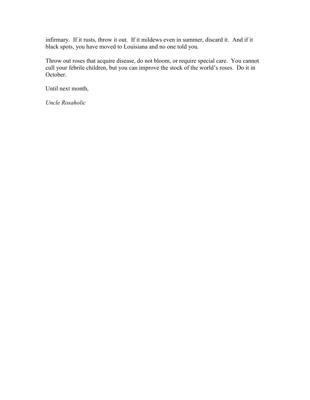infirmary. If it rusts, throw it out. If it mildews even in summer, discard it. And if it black spots, you have moved to Louisiana and no one told you.

Throw out roses that acquire disease, do not bloom, or require special care. You cannot cull your febrile children, but you can improve the stock of the world's roses. Do it in October.

Until next month,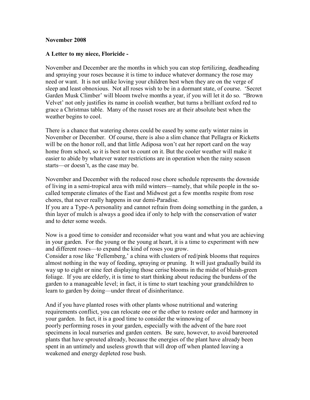#### November 2008

#### A Letter to my niece, Floricide -

November and December are the months in which you can stop fertilizing, deadheading and spraying your roses because it is time to induce whatever dormancy the rose may need or want. It is not unlike loving your children best when they are on the verge of sleep and least obnoxious. Not all roses wish to be in a dormant state, of course. 'Secret Garden Musk Climber' will bloom twelve months a year, if you will let it do so. "Brown Velvet' not only justifies its name in coolish weather, but turns a brilliant oxford red to grace a Christmas table. Many of the russet roses are at their absolute best when the weather begins to cool.

There is a chance that watering chores could be eased by some early winter rains in November or December. Of course, there is also a slim chance that Pellagra or Ricketts will be on the honor roll, and that little Adiposa won't eat her report card on the way home from school, so it is best not to count on it. But the cooler weather will make it easier to abide by whatever water restrictions are in operation when the rainy season starts—or doesn't, as the case may be.

November and December with the reduced rose chore schedule represents the downside of living in a semi-tropical area with mild winters—namely, that while people in the socalled temperate climates of the East and Midwest get a few months respite from rose chores, that never really happens in our demi-Paradise.

If you are a Type-A personality and cannot refrain from doing something in the garden, a thin layer of mulch is always a good idea if only to help with the conservation of water and to deter some weeds.

Now is a good time to consider and reconsider what you want and what you are achieving in your garden. For the young or the young at heart, it is a time to experiment with new and different roses—to expand the kind of roses you grow.

Consider a rose like 'Fellemberg,' a china with clusters of red/pink blooms that requires almost nothing in the way of feeding, spraying or pruning. It will just gradually build its way up to eight or nine feet displaying those cerise blooms in the midst of bluish-green foliage. If you are elderly, it is time to start thinking about reducing the burdens of the garden to a manageable level; in fact, it is time to start teaching your grandchildren to learn to garden by doing—under threat of disinheritance.

And if you have planted roses with other plants whose nutritional and watering requirements conflict, you can relocate one or the other to restore order and harmony in your garden. In fact, it is a good time to consider the winnowing of poorly performing roses in your garden, especially with the advent of the bare root specimens in local nurseries and garden centers. Be sure, however, to avoid barerooted plants that have sprouted already, because the energies of the plant have already been spent in an untimely and useless growth that will drop off when planted leaving a weakened and energy depleted rose bush.